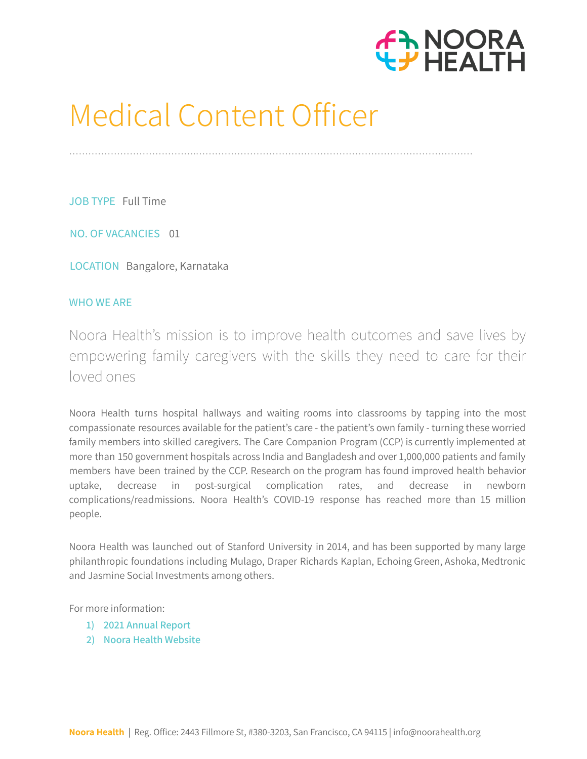

# Medical Content Officer

………………………………….……………………………………………………………………………

JOB TYPE Full Time

NO. OF VACANCIES 01

LOCATION Bangalore, Karnataka

## WHO WE ARE

Noora [Health's](http://noorahealth.org/) mission is to improve health outcomes and save lives by empowering family caregivers with the skills they need to care for their loved ones

Noora Health turns hospital hallways and waiting rooms into classrooms by tapping into the most compassionate resources available for the patient's care - the patient's own family - turning these worried family members into skilled caregivers. The Care Companion Program (CCP) is currently implemented at more than 150 government hospitals across India and Bangladesh and over 1,000,000 patients and family members have been trained by the CCP. Research on the program has found improved health behavior uptake, decrease in post-surgical complication rates, and decrease in newborn complications/readmissions. Noora Health's COVID-19 response has reached more than 15 million people.

Noora Health was launched out of Stanford University in 2014, and has been supported by many large philanthropic foundations including Mulago, Draper Richards Kaplan, Echoing Green, Ashoka, Medtronic and Jasmine Social Investments among others.

For more information:

- **1) 2021 [Annual](https://drive.google.com/file/d/1qKwAZVJHZ6mdvmRfarUzRCT7dh840f-J/view?usp=sharing) Report**
- **2) Noora Health [Website](http://nooorahealth.org/)**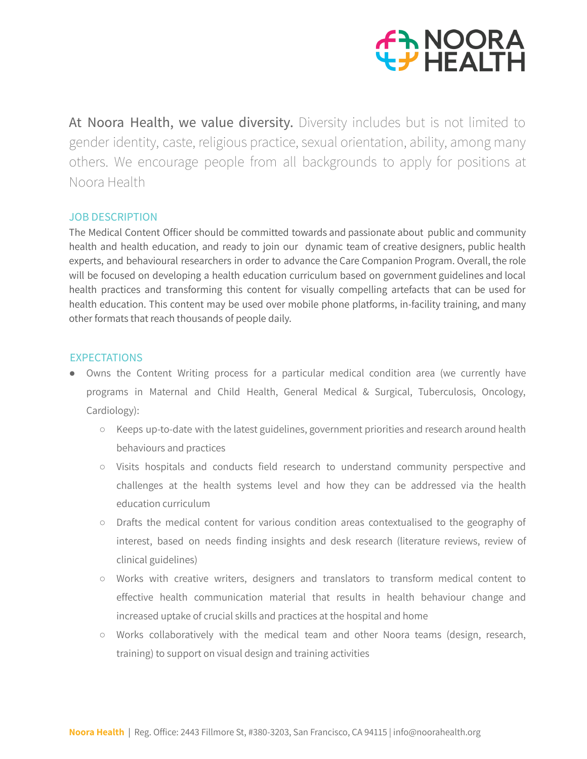

At Noora Health, we value diversity. Diversity includes but is not limited to gender identity, caste, religious practice, sexual orientation, ability, among many others. We encourage people from all backgrounds to apply for positions at Noora Health

## JOB DESCRIPTION

The Medical Content Officer should be committed towards and passionate about public and community health and health education, and ready to join our dynamic team of creative designers, public health experts, and behavioural researchers in order to advance the Care Companion Program. Overall, the role will be focused on developing a health education curriculum based on government guidelines and local health practices and transforming this content for visually compelling artefacts that can be used for health education. This content may be used over mobile phone platforms, in-facility training, and many other formats that reach thousands of people daily.

## **EXPECTATIONS**

- Owns the Content Writing process for a particular medical condition area (we currently have programs in Maternal and Child Health, General Medical & Surgical, Tuberculosis, Oncology, Cardiology):
	- Keeps up-to-date with the latest guidelines, government priorities and research around health behaviours and practices
	- Visits hospitals and conducts field research to understand community perspective and challenges at the health systems level and how they can be addressed via the health education curriculum
	- Drafts the medical content for various condition areas contextualised to the geography of interest, based on needs finding insights and desk research (literature reviews, review of clinical guidelines)
	- Works with creative writers, designers and translators to transform medical content to effective health communication material that results in health behaviour change and increased uptake of crucial skills and practices at the hospital and home
	- Works collaboratively with the medical team and other Noora teams (design, research, training) to support on visual design and training activities